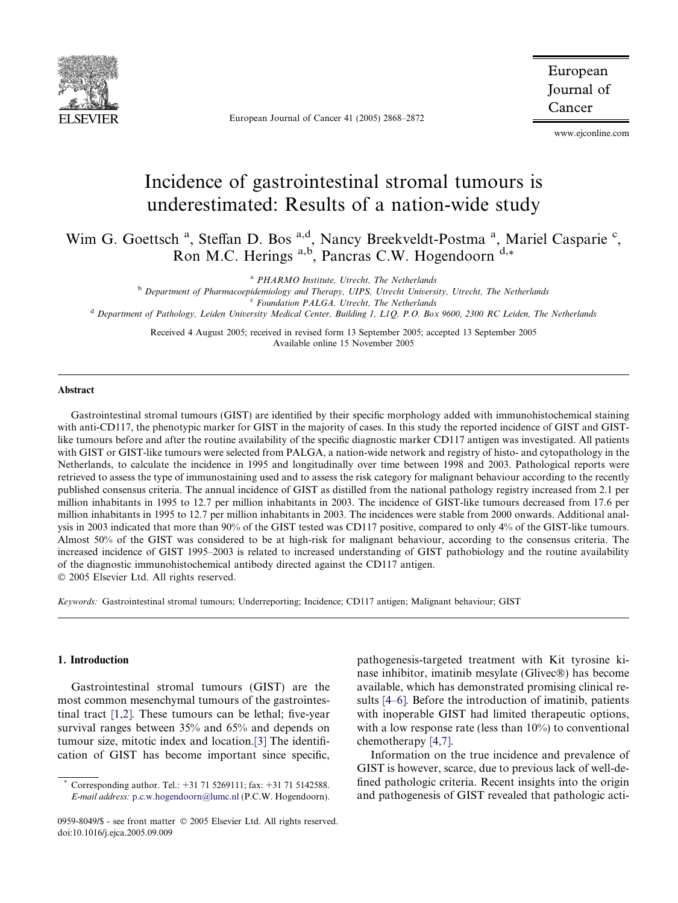

European Journal of Cancer 41 (2005) 2868–2872

European Journal of Cancer

www.ejconline.com

# Incidence of gastrointestinal stromal tumours is underestimated: Results of a nation-wide study

Wim G. Goettsch<sup>a</sup>, Steffan D. Bos<sup>a,d</sup>, Nancy Breekveldt-Postma<sup>a</sup>, Mariel Casparie<sup>c</sup>, Ron M.C. Herings  $a,b$ , Pancras C.W. Hogendoorn  $d,*$ 

<sup>a</sup> PHARMO Institute, Utrecht, The Netherlands

b Department of Pharmacoepidemiology and Therapy, UIPS, Utrecht University, Utrecht, The Netherlands

<sup>d</sup> Department of Pathology, Leiden University Medical Center, Building 1, L1Q, P.O. Box 9600, 2300 RC Leiden, The Netherlands

Received 4 August 2005; received in revised form 13 September 2005; accepted 13 September 2005 Available online 15 November 2005

## Abstract

Gastrointestinal stromal tumours (GIST) are identified by their specific morphology added with immunohistochemical staining with anti-CD117, the phenotypic marker for GIST in the majority of cases. In this study the reported incidence of GIST and GISTlike tumours before and after the routine availability of the specific diagnostic marker CD117 antigen was investigated. All patients with GIST or GIST-like tumours were selected from PALGA, a nation-wide network and registry of histo- and cytopathology in the Netherlands, to calculate the incidence in 1995 and longitudinally over time between 1998 and 2003. Pathological reports were retrieved to assess the type of immunostaining used and to assess the risk category for malignant behaviour according to the recently published consensus criteria. The annual incidence of GIST as distilled from the national pathology registry increased from 2.1 per million inhabitants in 1995 to 12.7 per million inhabitants in 2003. The incidence of GIST-like tumours decreased from 17.6 per million inhabitants in 1995 to 12.7 per million inhabitants in 2003. The incidences were stable from 2000 onwards. Additional analysis in 2003 indicated that more than 90% of the GIST tested was CD117 positive, compared to only 4% of the GIST-like tumours. Almost 50% of the GIST was considered to be at high-risk for malignant behaviour, according to the consensus criteria. The increased incidence of GIST 1995–2003 is related to increased understanding of GIST pathobiology and the routine availability of the diagnostic immunohistochemical antibody directed against the CD117 antigen. 2005 Elsevier Ltd. All rights reserved.

Keywords: Gastrointestinal stromal tumours; Underreporting; Incidence; CD117 antigen; Malignant behaviour; GIST

# 1. Introduction

Gastrointestinal stromal tumours (GIST) are the most common mesenchymal tumours of the gastrointestinal tract [\[1,2\].](#page-4-0) These tumours can be lethal; five-year survival ranges between 35% and 65% and depends on tumour size, mitotic index and location[.\[3\]](#page-4-0) The identification of GIST has become important since specific,

pathogenesis-targeted treatment with Kit tyrosine kinase inhibitor, imatinib mesylate (Glivec®) has become available, which has demonstrated promising clinical results [\[4–6\]](#page-4-0). Before the introduction of imatinib, patients with inoperable GIST had limited therapeutic options, with a low response rate (less than  $10\%$ ) to conventional chemotherapy [\[4,7\].](#page-4-0)

Information on the true incidence and prevalence of GIST is however, scarce, due to previous lack of well-defined pathologic criteria. Recent insights into the origin and pathogenesis of GIST revealed that pathologic acti-

 $c$  Foundation PALGA, Utrecht, The Netherlands

Corresponding author. Tel.: +31 71 5269111; fax: +31 71 5142588. E-mail address: [p.c.w.hogendoorn@lumc.nl](mailto:p.c.w.hogendoorn@lumc.nl) (P.C.W. Hogendoorn).

<sup>0959-8049/\$ -</sup> see front matter © 2005 Elsevier Ltd. All rights reserved. doi:10.1016/j.ejca.2005.09.009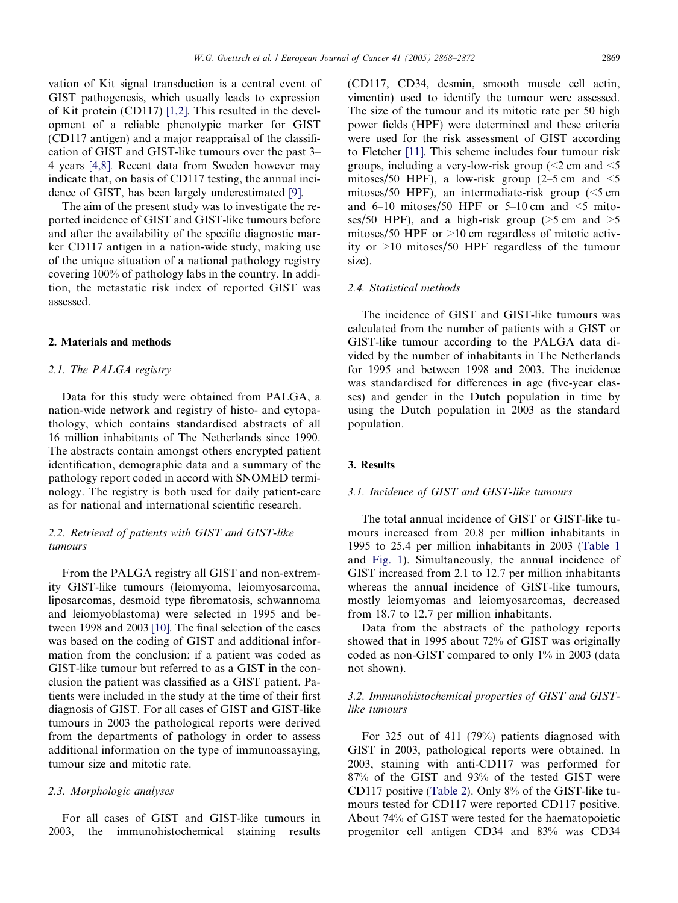vation of Kit signal transduction is a central event of GIST pathogenesis, which usually leads to expression of Kit protein (CD117) [\[1,2\]](#page-4-0). This resulted in the development of a reliable phenotypic marker for GIST (CD117 antigen) and a major reappraisal of the classification of GIST and GIST-like tumours over the past 3– 4 years [\[4,8\].](#page-4-0) Recent data from Sweden however may indicate that, on basis of CD117 testing, the annual incidence of GIST, has been largely underestimated [\[9\]](#page-4-0).

The aim of the present study was to investigate the reported incidence of GIST and GIST-like tumours before and after the availability of the specific diagnostic marker CD117 antigen in a nation-wide study, making use of the unique situation of a national pathology registry covering 100% of pathology labs in the country. In addition, the metastatic risk index of reported GIST was assessed.

## 2. Materials and methods

# 2.1. The PALGA registry

Data for this study were obtained from PALGA, a nation-wide network and registry of histo- and cytopathology, which contains standardised abstracts of all 16 million inhabitants of The Netherlands since 1990. The abstracts contain amongst others encrypted patient identification, demographic data and a summary of the pathology report coded in accord with SNOMED terminology. The registry is both used for daily patient-care as for national and international scientific research.

# 2.2. Retrieval of patients with GIST and GIST-like tumours

From the PALGA registry all GIST and non-extremity GIST-like tumours (leiomyoma, leiomyosarcoma, liposarcomas, desmoid type fibromatosis, schwannoma and leiomyoblastoma) were selected in 1995 and between 1998 and 2003 [\[10\].](#page-4-0) The final selection of the cases was based on the coding of GIST and additional information from the conclusion; if a patient was coded as GIST-like tumour but referred to as a GIST in the conclusion the patient was classified as a GIST patient. Patients were included in the study at the time of their first diagnosis of GIST. For all cases of GIST and GIST-like tumours in 2003 the pathological reports were derived from the departments of pathology in order to assess additional information on the type of immunoassaying, tumour size and mitotic rate.

#### 2.3. Morphologic analyses

For all cases of GIST and GIST-like tumours in 2003, the immunohistochemical staining results (CD117, CD34, desmin, smooth muscle cell actin, vimentin) used to identify the tumour were assessed. The size of the tumour and its mitotic rate per 50 high power fields (HPF) were determined and these criteria were used for the risk assessment of GIST according to Fletcher [\[11\].](#page-4-0) This scheme includes four tumour risk groups, including a very-low-risk group ( $\leq$ 2 cm and  $\leq$ 5 mitoses/50 HPF), a low-risk group  $(2-5 \text{ cm and } <5$ mitoses/50 HPF), an intermediate-risk group  $\leq$ 5 cm and 6–10 mitoses/50 HPF or 5–10 cm and  $\leq$ 5 mitoses/50 HPF), and a high-risk group ( $>5$  cm and  $>5$ mitoses/50 HPF or  $>10$  cm regardless of mitotic activity or >10 mitoses/50 HPF regardless of the tumour size).

## 2.4. Statistical methods

The incidence of GIST and GIST-like tumours was calculated from the number of patients with a GIST or GIST-like tumour according to the PALGA data divided by the number of inhabitants in The Netherlands for 1995 and between 1998 and 2003. The incidence was standardised for differences in age (five-year classes) and gender in the Dutch population in time by using the Dutch population in 2003 as the standard population.

## 3. Results

## 3.1. Incidence of GIST and GIST-like tumours

The total annual incidence of GIST or GIST-like tumours increased from 20.8 per million inhabitants in 1995 to 25.4 per million inhabitants in 2003 ([Table 1](#page-2-0) and [Fig. 1\)](#page-3-0). Simultaneously, the annual incidence of GIST increased from 2.1 to 12.7 per million inhabitants whereas the annual incidence of GIST-like tumours, mostly leiomyomas and leiomyosarcomas, decreased from 18.7 to 12.7 per million inhabitants.

Data from the abstracts of the pathology reports showed that in 1995 about 72% of GIST was originally coded as non-GIST compared to only 1% in 2003 (data not shown).

## 3.2. Immunohistochemical properties of GIST and GISTlike tumours

For 325 out of 411 (79%) patients diagnosed with GIST in 2003, pathological reports were obtained. In 2003, staining with anti-CD117 was performed for 87% of the GIST and 93% of the tested GIST were CD117 positive ([Table 2](#page-3-0)). Only 8% of the GIST-like tumours tested for CD117 were reported CD117 positive. About 74% of GIST were tested for the haematopoietic progenitor cell antigen CD34 and 83% was CD34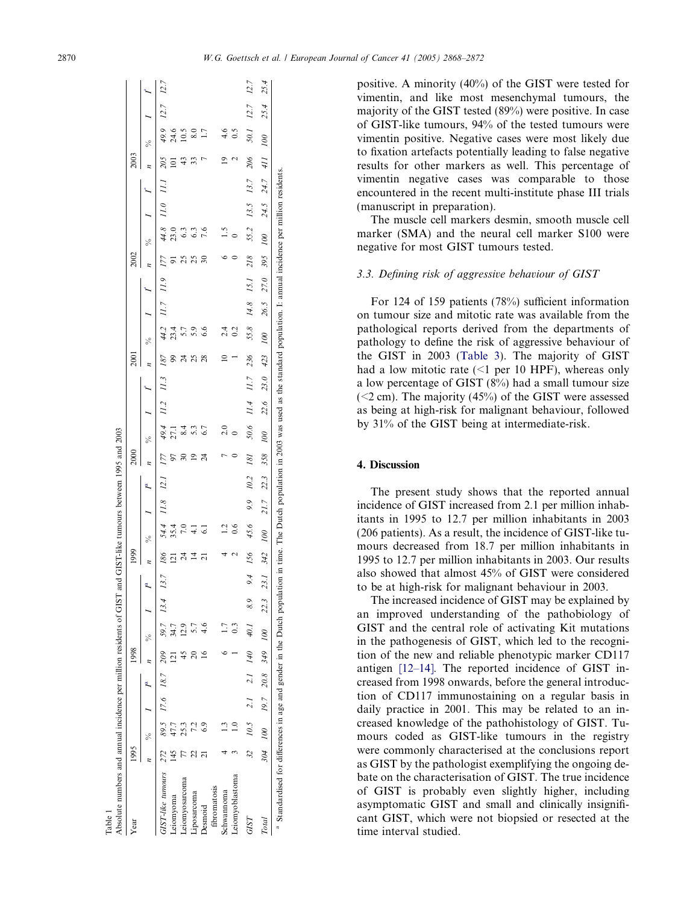<span id="page-2-0"></span>

| Absolute numbers and annual incidence per million residents of GIST<br>Table 1                                                                                                                            |      |                      |                |      |                                |      |      |                          | and GIST-like tumours between 1995 and 2003 |      |      |                |                     |      |      |                          |      |      |      |                 |               |      |      |                    |               |               |
|-----------------------------------------------------------------------------------------------------------------------------------------------------------------------------------------------------------|------|----------------------|----------------|------|--------------------------------|------|------|--------------------------|---------------------------------------------|------|------|----------------|---------------------|------|------|--------------------------|------|------|------|-----------------|---------------|------|------|--------------------|---------------|---------------|
| Year                                                                                                                                                                                                      | 1995 |                      |                | 1998 |                                |      |      | 1999                     |                                             |      |      | 2000           |                     |      |      | 200 I                    |      |      |      | 2002            |               |      |      | 2003               |               |               |
|                                                                                                                                                                                                           |      | ž,                   |                |      | ℅                              |      | R    | z                        | ÷,                                          |      | Ŕ,   |                | ÷,                  |      |      |                          | ÷,   |      |      | ÷,              |               |      |      | ÷,                 |               |               |
| GIST-like tumours                                                                                                                                                                                         | 272  |                      | 89.5 17.6 18.7 | 209  | 59.7                           | 13.4 | 13.7 | 186                      | 54.4                                        | 11.8 | 12.1 | 177            | 49.4                | 11.2 | 1/3  | 187                      | 44.2 | 11.7 | I1.9 | 177             | 44.8          | 11.0 | II.  | 205                | 49.9          | $12.7$ $12.7$ |
| Leiomyoma                                                                                                                                                                                                 | 145  | 17.7                 |                |      |                                |      |      | $\overline{21}$          | 35.4                                        |      |      | 97             | 27.1                |      |      | 99                       | 23.4 |      |      | 51              | 23.0          |      |      | $\overline{a}$     | 24.6          |               |
| Leiomyosarcoma                                                                                                                                                                                            |      | 25.3                 |                |      | 2.9                            |      |      | $\overline{24}$          | 7.0                                         |      |      | $\approx$      | 8.4                 |      |      | $\overline{\mathcal{A}}$ | 5.7  |      |      | $25$            | 6.3           |      |      | $\frac{4}{3}$      | 10.5          |               |
| Liposarcoma                                                                                                                                                                                               |      |                      |                |      |                                |      |      | $\vec{4}$                | $\frac{1}{4}$                               |      |      | $\overline{9}$ |                     |      |      | 25                       | 5.9  |      |      |                 | 6.3           |      |      | 33                 |               |               |
| Desmoid                                                                                                                                                                                                   |      |                      |                |      |                                |      |      | ಸ                        | ಪ                                           |      |      | 24             | 6.7                 |      |      | 28                       | 6.6  |      |      | $\overline{30}$ | 7.6           |      |      | ŗ                  |               |               |
| fibromatosis                                                                                                                                                                                              |      |                      |                |      |                                |      |      |                          |                                             |      |      |                |                     |      |      |                          |      |      |      |                 |               |      |      |                    |               |               |
| Schwannoma                                                                                                                                                                                                |      |                      |                |      |                                |      |      | 4                        | 1.2                                         |      |      |                | 2.0                 |      |      | $\supseteq$              | 2.4  |      |      |                 | $\frac{5}{1}$ |      |      | ഉ                  | $\frac{4}{6}$ |               |
| ciomyoblastoma                                                                                                                                                                                            |      |                      |                |      |                                |      |      | $\overline{\mathcal{C}}$ | 0.6                                         |      |      |                | $\circ$             |      |      |                          | 0.2  |      |      |                 | $\circ$       |      |      | $\mathbf{\hat{c}}$ | 0.5           |               |
| GIST                                                                                                                                                                                                      | 32   | $10.5$ 2.1 2.1 $140$ |                |      | 40.1                           | 8.9  | 9.4  | 156                      | 45.6                                        | 9.9  | 10.2 | 181            | 50.6                | 11.4 | II.7 | 236                      | 55.8 | 14.8 | 15.1 | 218             | 55.2          | 13.5 | 13.7 | 206                | 12.7<br>50.1  | 12.7          |
| Total                                                                                                                                                                                                     |      |                      |                |      | 304 100 19.7 20.8 349 100 22.3 |      | 23.1 | 342                      | $\infty$                                    | 21.7 | 22.3 | 358            | $\overline{\omega}$ | 22.6 | 23.0 | 423                      | 100  | 26.5 | 27.0 | 395             | 00            | 24.5 | 24.7 | 001 117            | 25.4          | 25.4          |
| <sup>8</sup> Standardised for differences in age and gender in the Dutch population in time. The Dutch population in 2003 was used as the standard population. I: annual incidence per million residents. |      |                      |                |      |                                |      |      |                          |                                             |      |      |                |                     |      |      |                          |      |      |      |                 |               |      |      |                    |               |               |

positive. A minority (40%) of the GIST were tested for vimentin, and like most mesenchymal tumours, the majority of the GIST tested (89%) were positive. In case of GIST-like tumours, 94% of the tested tumours were vimentin positive. Negative cases were most likely due to fixation artefacts potentially leading to false negative results for other markers as well. This percentage of vimentin negative cases was comparable to those encountered in the recent multi-institute phase III trials (manuscript in preparation).

The muscle cell markers desmin, smooth muscle cell marker (SMA) and the neural cell marker S100 were negative for most GIST tumours tested.

# 3.3. Defining risk of aggressive behaviour of GIST

For 124 of 159 patients (78%) sufficient information on tumour size and mitotic rate was available from the pathological reports derived from the departments of pathology to define the risk of aggressive behaviour of the GIST in 2003 [\(Table 3](#page-3-0)). The majority of GIST had a low mitotic rate  $(<1$  per 10 HPF), whereas only a low percentage of GIST (8%) had a small tumour size  $(< 2 cm)$ . The majority (45%) of the GIST were assessed as being at high-risk for malignant behaviour, followed by 31% of the GIST being at intermediate-risk.

# 4. Discussion

The present study shows that the reported annual incidence of GIST increased from 2.1 per million inhabitants in 1995 to 12.7 per million inhabitants in 2003 (206 patients). As a result, the incidence of GIST-like tumours decreased from 18.7 per million inhabitants in 1995 to 12.7 per million inhabitants in 2003. Our results also showed that almost 45% of GIST were considered to be at high-risk for malignant behaviour in 2003.

The increased incidence of GIST may be explained by an improved understanding of the pathobiology of GIST and the central role of activating Kit mutations in the pathogenesis of GIST, which led to the recognition of the new and reliable phenotypic marker CD117 antigen [\[12–14\].](#page-4-0) The reported incidence of GIST increased from 1998 onwards, before the general introduction of CD117 immunostaining on a regular basis in daily practice in 2001. This may be related to an increased knowledge of the pathohistology of GIST. Tumours coded as GIST-like tumours in the registry were commonly characterised at the conclusions report as GIST by the pathologist exemplifying the ongoing debate on the characterisation of GIST. The true incidence of GIST is probably even slightly higher, including asymptomatic GIST and small and clinically insignificant GIST, which were not biopsied or resected at the time interval studied.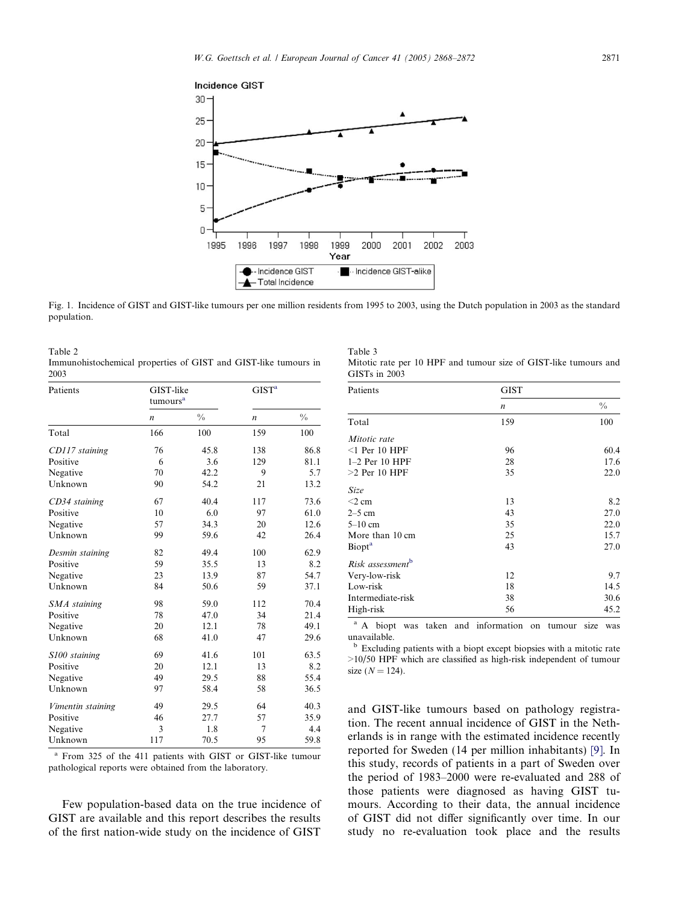<span id="page-3-0"></span>

Fig. 1. Incidence of GIST and GIST-like tumours per one million residents from 1995 to 2003, using the Dutch population in 2003 as the standard population.

| Table 2                                                         |  |  |  |  |
|-----------------------------------------------------------------|--|--|--|--|
| Immunohistochemical properties of GIST and GIST-like tumours in |  |  |  |  |
| 2003                                                            |  |  |  |  |

| Patients          | GIST-like<br>tumours <sup>a</sup> |               | GIST <sup>a</sup> |               |
|-------------------|-----------------------------------|---------------|-------------------|---------------|
|                   | $\boldsymbol{n}$                  | $\frac{0}{0}$ | $\boldsymbol{n}$  | $\frac{0}{0}$ |
| Total             | 166                               | 100           | 159               | 100           |
| CD117 staining    | 76                                | 45.8          | 138               | 86.8          |
| Positive          | 6                                 | 3.6           | 129               | 81.1          |
| Negative          | 70                                | 42.2          | 9                 | 5.7           |
| Unknown           | 90                                | 54.2          | 21                | 13.2          |
| CD34 staining     | 67                                | 40.4          | 117               | 73.6          |
| Positive          | 10                                | 6.0           | 97                | 61.0          |
| Negative          | 57                                | 34.3          | 20                | 12.6          |
| Unknown           | 99                                | 59.6          | 42                | 26.4          |
| Desmin staining   | 82                                | 49.4          | 100               | 62.9          |
| Positive          | 59                                | 35.5          | 13                | 8.2           |
| Negative          | 23                                | 13.9          | 87                | 54.7          |
| Unknown           | 84                                | 50.6          | 59                | 37.1          |
| SMA staining      | 98                                | 59.0          | 112               | 70.4          |
| Positive          | 78                                | 47.0          | 34                | 21.4          |
| Negative          | 20                                | 12.1          | 78                | 49.1          |
| Unknown           | 68                                | 41.0          | 47                | 29.6          |
| S100 staining     | 69                                | 41.6          | 101               | 63.5          |
| Positive          | 20                                | 12.1          | 13                | 8.2           |
| Negative          | 49                                | 29.5          | 88                | 55.4          |
| Unknown           | 97                                | 58.4          | 58                | 36.5          |
| Vimentin staining | 49                                | 29.5          | 64                | 40.3          |
| Positive          | 46                                | 27.7          | 57                | 35.9          |
| Negative          | 3                                 | 1.8           | $\overline{7}$    | 4.4           |
| Unknown           | 117                               | 70.5          | 95                | 59.8          |

From 325 of the 411 patients with GIST or GIST-like tumour pathological reports were obtained from the laboratory.

Few population-based data on the true incidence of GIST are available and this report describes the results of the first nation-wide study on the incidence of GIST

Table 3 Mitotic rate per 10 HPF and tumour size of GIST-like tumours and GISTs in 2003

| Patients                     | <b>GIST</b>      |               |
|------------------------------|------------------|---------------|
|                              | $\boldsymbol{n}$ | $\frac{0}{0}$ |
| Total                        | 159              | 100           |
| Mitotic rate                 |                  |               |
| $\leq$ 1 Per 10 HPF          | 96               | 60.4          |
| $1-2$ Per 10 HPF             | 28               | 17.6          |
| $>2$ Per 10 HPF              | 35               | 22.0          |
| <b>Size</b>                  |                  |               |
| $<$ 2 cm                     | 13               | 8.2           |
| $2-5$ cm                     | 43               | 27.0          |
| $5-10$ cm                    | 35               | 22.0          |
| More than 10 cm              | 25               | 15.7          |
| <b>Biopt</b> <sup>a</sup>    | 43               | 27.0          |
| Risk assessment <sup>b</sup> |                  |               |
| Very-low-risk                | 12               | 9.7           |
| Low-risk                     | 18               | 14.5          |
| Intermediate-risk            | 38               | 30.6          |
| High-risk                    | 56               | 45.2          |

<sup>a</sup> A biopt was taken and information on tumour size was unavailable.

<sup>b</sup> Excluding patients with a biopt except biopsies with a mitotic rate >10/50 HPF which are classified as high-risk independent of tumour size  $(N = 124)$ .

and GIST-like tumours based on pathology registration. The recent annual incidence of GIST in the Netherlands is in range with the estimated incidence recently reported for Sweden (14 per million inhabitants) [\[9\]](#page-4-0). In this study, records of patients in a part of Sweden over the period of 1983–2000 were re-evaluated and 288 of those patients were diagnosed as having GIST tumours. According to their data, the annual incidence of GIST did not differ significantly over time. In our study no re-evaluation took place and the results